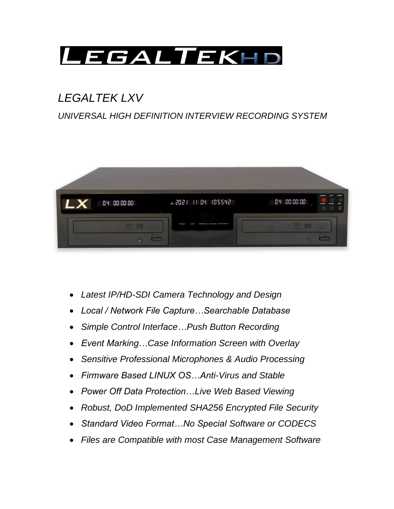

# *LEGALTEK LXV*

## *UNIVERSAL HIGH DEFINITION INTERVIEW RECORDING SYSTEM*



- *Latest IP/HD-SDI Camera Technology and Design*
- *Local / Network File Capture…Searchable Database*
- *Simple Control Interface…Push Button Recording*
- *Event Marking…Case Information Screen with Overlay*
- *Sensitive Professional Microphones & Audio Processing*
- *Firmware Based LINUX OS…Anti-Virus and Stable*
- *Power Off Data Protection…Live Web Based Viewing*
- *Robust, DoD Implemented SHA256 Encrypted File Security*
- *Standard Video Format…No Special Software or CODECS*
- *Files are Compatible with most Case Management Software*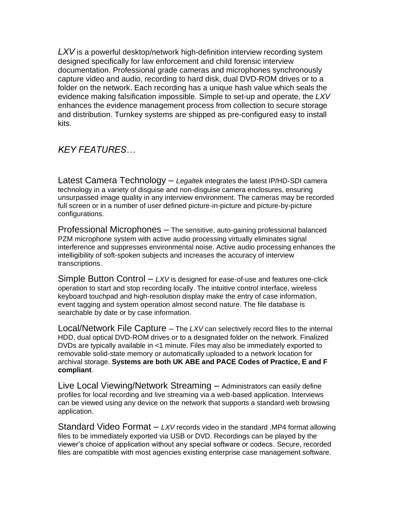*LXV* is a powerful desktop/network high-definition interview recording system designed specifically for law enforcement and child forensic interview documentation. Professional grade cameras and microphones synchronously capture video and audio, recording to hard disk, dual DVD-ROM drives or to a folder on the network. Each recording has a unique hash value which seals the evidence making falsification impossible. Simple to set-up and operate, the *LXV* enhances the evidence management process from collection to secure storage and distribution. Turnkey systems are shipped as pre-configured easy to install kits.

*KEY FEATURES…*

Latest Camera Technology – *Legaltek* integrates the latest IP/HD-SDI camera technology in a variety of disguise and non-disguise camera enclosures, ensuring unsurpassed image quality in any interview environment. The cameras may be recorded full screen or in a number of user defined picture-in-picture and picture-by-picture configurations.

Professional Microphones – The sensitive, auto-gaining professional balanced PZM microphone system with active audio processing virtually eliminates signal interference and suppresses environmental noise. Active audio processing enhances the intelligibility of soft-spoken subjects and increases the accuracy of interview transcriptions.

Simple Button Control – *LXV* is designed for ease-of-use and features one-click operation to start and stop recording locally. The intuitive control interface, wireless keyboard touchpad and high-resolution display make the entry of case information, event tagging and system operation almost second nature. The file database is searchable by date or by case information.

Local/Network File Capture – The *LXV* can selectively record files to the internal HDD, dual optical DVD-ROM drives or to a designated folder on the network. Finalized DVDs are typically available in <1 minute. Files may also be immediately exported to removable solid-state memory or automatically uploaded to a network location for archival storage. **Systems are both UK ABE and PACE Codes of Practice, E and F compliant**.

Live Local Viewing/Network Streaming – Administrators can easily define profiles for local recording and live streaming via a web-based application. Interviews can be viewed using any device on the network that supports a standard web browsing application.

Standard Video Format – *LXV* records video in the standard .MP4 format allowing files to be immediately exported via USB or DVD. Recordings can be played by the viewer's choice of application without any special software or codecs. Secure, recorded files are compatible with most agencies existing enterprise case management software.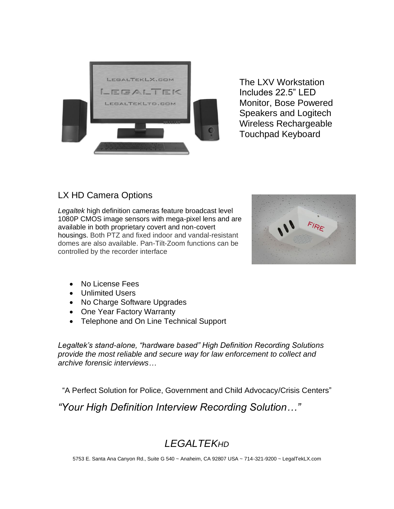

The LXV Workstation Includes 22.5" LED Monitor, Bose Powered Speakers and Logitech Wireless Rechargeable Touchpad Keyboard

### LX HD Camera Options

*Legaltek* high definition cameras feature broadcast level 1080P CMOS image sensors with mega-pixel lens and are available in both proprietary covert and non-covert housings. Both PTZ and fixed indoor and vandal-resistant domes are also available. Pan-Tilt-Zoom functions can be controlled by the recorder interface



- No License Fees
- Unlimited Users
- No Charge Software Upgrades
- One Year Factory Warranty
- Telephone and On Line Technical Support

*Legaltek's stand-alone, "hardware based" High Definition Recording Solutions provide the most reliable and secure way for law enforcement to collect and archive forensic interviews…*

"A Perfect Solution for Police, Government and Child Advocacy/Crisis Centers"

*"Your High Definition Interview Recording Solution…"*

## *LEGALTEKHD*

5753 E. Santa Ana Canyon Rd., Suite G 540 ~ Anaheim, CA 92807 USA ~ 714-321-9200 ~ LegalTekLX.com